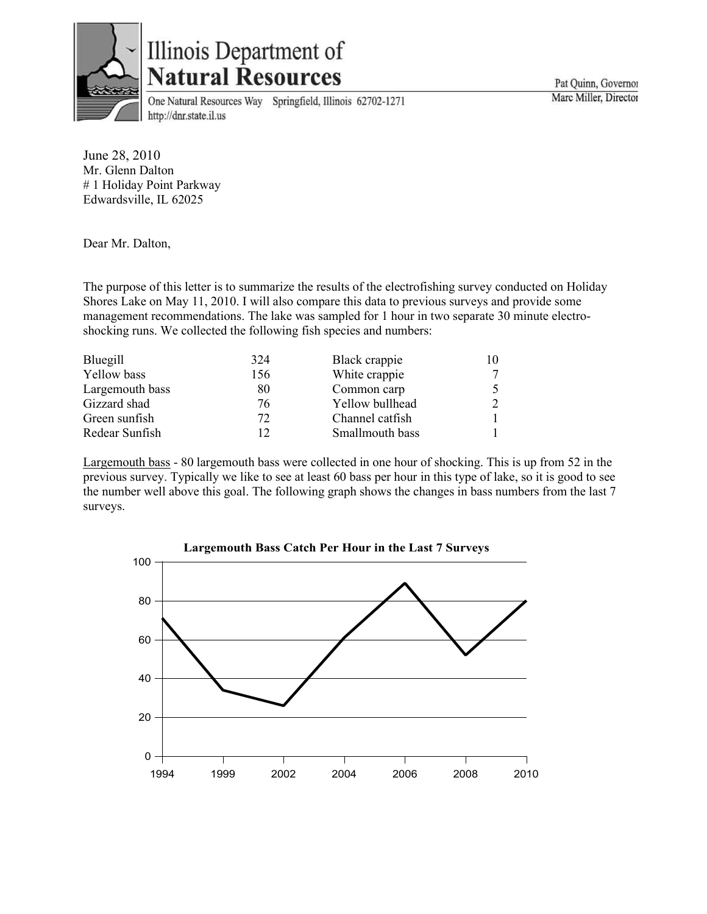

## Illinois Department of **Natural Resources**

One Natural Resources Way Springfield, Illinois 62702-1271 http://dnr.state.il.us

June 28, 2010 Mr. Glenn Dalton # 1 Holiday Point Parkway Edwardsville, IL 62025

Dear Mr. Dalton,

The purpose of this letter is to summarize the results of the electrofishing survey conducted on Holiday Shores Lake on May 11, 2010. I will also compare this data to previous surveys and provide some management recommendations. The lake was sampled for 1 hour in two separate 30 minute electroshocking runs. We collected the following fish species and numbers:

| Bluegill        | 324 | Black crappie   |  |
|-----------------|-----|-----------------|--|
| Yellow bass     | 156 | White crappie   |  |
| Largemouth bass | 80  | Common carp     |  |
| Gizzard shad    | 76  | Yellow bullhead |  |
| Green sunfish   | 72  | Channel catfish |  |
| Redear Sunfish  | 12  | Smallmouth bass |  |

Largemouth bass - 80 largemouth bass were collected in one hour of shocking. This is up from 52 in the previous survey. Typically we like to see at least 60 bass per hour in this type of lake, so it is good to see the number well above this goal. The following graph shows the changes in bass numbers from the last 7 surveys.